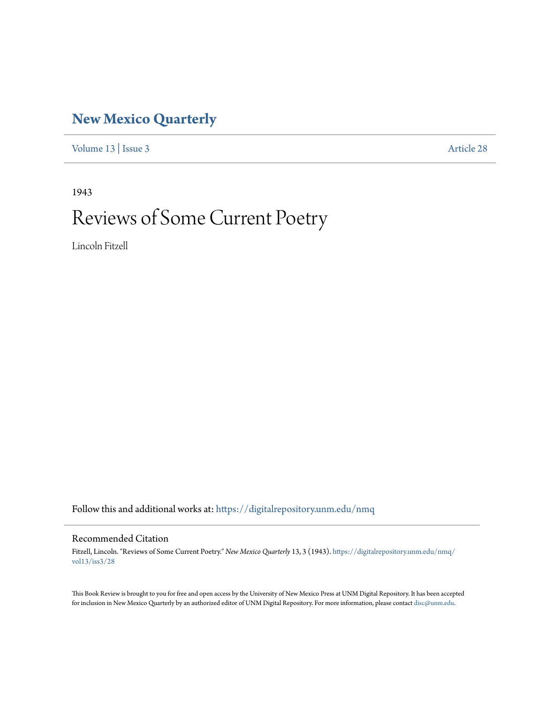# **[New Mexico Quarterly](https://digitalrepository.unm.edu/nmq?utm_source=digitalrepository.unm.edu%2Fnmq%2Fvol13%2Fiss3%2F28&utm_medium=PDF&utm_campaign=PDFCoverPages)**

[Volume 13](https://digitalrepository.unm.edu/nmq/vol13?utm_source=digitalrepository.unm.edu%2Fnmq%2Fvol13%2Fiss3%2F28&utm_medium=PDF&utm_campaign=PDFCoverPages) | [Issue 3](https://digitalrepository.unm.edu/nmq/vol13/iss3?utm_source=digitalrepository.unm.edu%2Fnmq%2Fvol13%2Fiss3%2F28&utm_medium=PDF&utm_campaign=PDFCoverPages) [Article 28](https://digitalrepository.unm.edu/nmq/vol13/iss3/28?utm_source=digitalrepository.unm.edu%2Fnmq%2Fvol13%2Fiss3%2F28&utm_medium=PDF&utm_campaign=PDFCoverPages)

1943

# Reviews of Some Current Poetry

Lincoln Fitzell

Follow this and additional works at: [https://digitalrepository.unm.edu/nmq](https://digitalrepository.unm.edu/nmq?utm_source=digitalrepository.unm.edu%2Fnmq%2Fvol13%2Fiss3%2F28&utm_medium=PDF&utm_campaign=PDFCoverPages)

#### Recommended Citation

Fitzell, Lincoln. "Reviews of Some Current Poetry." *New Mexico Quarterly* 13, 3 (1943). [https://digitalrepository.unm.edu/nmq/](https://digitalrepository.unm.edu/nmq/vol13/iss3/28?utm_source=digitalrepository.unm.edu%2Fnmq%2Fvol13%2Fiss3%2F28&utm_medium=PDF&utm_campaign=PDFCoverPages) [vol13/iss3/28](https://digitalrepository.unm.edu/nmq/vol13/iss3/28?utm_source=digitalrepository.unm.edu%2Fnmq%2Fvol13%2Fiss3%2F28&utm_medium=PDF&utm_campaign=PDFCoverPages)

This Book Review is brought to you for free and open access by the University of New Mexico Press at UNM Digital Repository. It has been accepted for inclusion in New Mexico Quarterly by an authorized editor of UNM Digital Repository. For more information, please contact [disc@unm.edu](mailto:disc@unm.edu).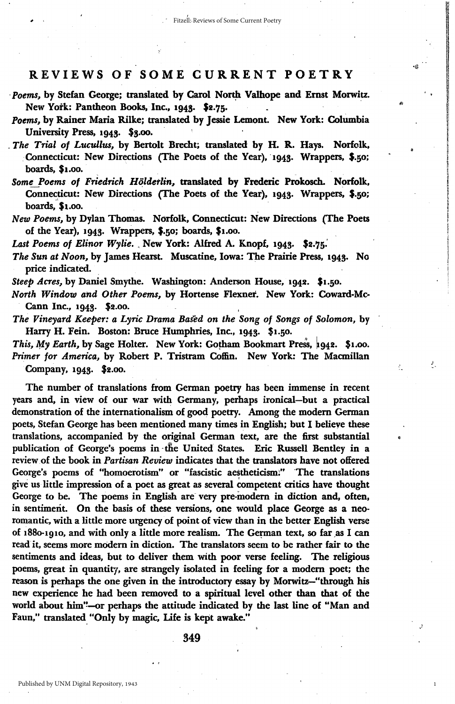in 1993 and 1993.<br>Bailtean **I** in an an Dùbhlach i

1

Ł.

#### REVIEWS OF SOME CURRENT POETRY

 $\bullet$  ,

- *Poems*, by Stefan George; translated by Carol North Valhope and Ernst Morwitz. New York: Pantheon Books, Inc., 1943. \$2.75.
- Poems, by Rainer Maria Rilke; translated by Jessie Lemont. New York: Columbia University Press, 1943. \$3.00.
- . The Trial of Lucullus, by Bertolt Brecht; translated by H. R. Hays. Norfolk, .Connecticut: New Directions (The Poets of the Year), '1945. Wrappers, \$.50; boards, \$1.00.
- Some Poems of Friedrich Hölderlin, translated by Frederic Prokosch. Norfolk, Connecticut: New Directions (The Poets of the Year), 1943. Wrappers, \$.50; boards, \$1.00.
- *New Poems*, by Dylan Thomas. Norfolk, Connecticut: New Directions (The Poets of the Year), 1945. Wrappers, \$.50; boards, \$1.00.

*Last Poems of Elinor Wylie.* . New York: Alfred A. Knopf, 1943· \$2.75:

- *The Sun at* Noon~ by James Hearst. Muscatine, Iowa: The Prairie Press, 1945. No price indicated.
- Steep Acres, by Daniel Smythe. Washington: Anderson House, 1942. \$1.50.
- *North Window and Other* Poems~ by Hortense Flexner. New York: Coward-Mc-Cann Inc., 1945. \$2.00.
- *The Vineyard Keeper: a Lyric Drama Baled on the Song* of *Songs* of *Solomon,* by Harry H. Fein. Boston: Bruce Humphries, Inc., 1943. \$1.50.
- *This, My Earth, by Sage Holter.* New York: Gotham Bookmart Press, 1942. \$1.00. Primer for America, by Robert P. Tristram Coffin. New York: The Macmillan Company, 1945. \$2.00.

The number of translations from German poetry has been immense in recent years and, in view of our war with Germany, perhaps ironical-but a practical demonstration of the internationalism of good poetry. Among the modem German poets, Stefan George has been mentioned many times in English; but I believe these translations, accompanied by the original German text, are the first substantial publication of George's poems in the United States. Eric Russell Bentley in a review of the book in *Partisan Review* indicates that the translators have not offered George's poems of "homoerotism" or "fascistic aestheticism." The translations give us little impression of a poet as great as several competent critics have thought George to be. The poems in English are" very pre-modem in diction and, often, in sentiment. On the basis of these versions, one. would place George as a neoromantic, with a little more urgency of point of view than in the better English verse of 1880-1910, and with only a little more realism. The German text, so far as I can read it, seems more modern in diction. The translators seem to be rather fair to the sentiments and ideas, but to deliver them with poor verse feeling. The religious poems, great in quantity, are strangely isolated in feeling for a modem poet; the reason is perhaps the one given in the introductory essay by Morwitz-"through his new experience he had been removed to a spiritual level other than that of the world about him"-or perhaps the attitude indicated by the last line of "Man and Faun," translated "Only by magic, Life is kept awake."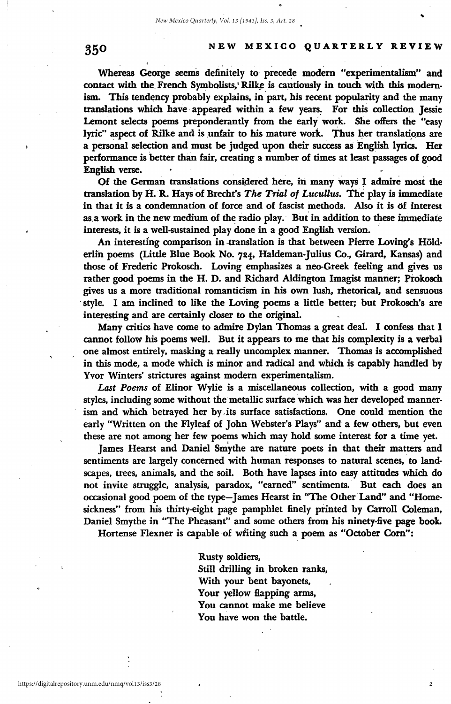### 350 NEW MEXICO QUARTERLY REVIEW

. .. . . Whereas George seemS definitely to prece~e modem uexperimentalism" and contact with the French Symbolists, Rilke is cautiously in touch with this modernism. This tendency probably explains, in part, his recent popularity and the many translations which have appeared within a few years. For this collection Jessie Lemont selects poems preponderantly from the early work. She offers the "easy lyric" aspect of Rilke and is unfair to his mature work. Thus her translations are a personal selection and must be judged upon their success as English lyrics. Her performance is better than fair, creating a number of times at least passages of good English verse.

Qf the German translations considered here, in many ways I admire most the translation by H. R. Hays'of Brecht's *The Trial of Lucullus.* The play is immediate in that it is a condemnation of force and of fascist methods. Also it is of interest as,a work in the new medium of the radio play. But in addition to these immediate interests, it is a well-sustained play done in a good English version.

An interesting comparison in translation is that between Pierre Loving's Hölderlfn poems (Little Blue Book No. 724, Haldeman-Julius Co., Girard; Kansas) and those of Frederic Prokosch. Loving emphasizes a neo-Greek feeling and gives us rather good poems in the H. D. and Richard Aldington Imagist manner; Prokosch gives us a more traditional romanticism in his own lush, rhetorical, and sensuous style. I am inclined to like the Loving poems a little better; but Prokosch's are interesting and are certainly closer to the original.

Many critics have come to admire Dylan Thomas a great deal. I confess that 1 cannot follow his poems well. But it appears to me that his complexity is a vetbal one almost entirely, masking a really uncomplex manner. Thomas is accomplished in this mode, a mode which is minor and radical and which is capably handled by Yvor Winters' strictures against modem experimentalism.

*Last Poems* of Elinor Wylie is a miscellaneous collection, with a good many styles, including some without the metallic surface which was her developed mannerism and which betrayed her by -its surface satisfactions. One could mention the early "Written on the Flyleaf of John Webster's Plays" and a few others, but even these are not among her few poems which may hold some interest for a time yet.<br>James Hearst and Daniel Smythe are nature poets in that their matters and

sentiments are largely concerned with human responses to natural scenes, to land· scapes, trees, animals, and the soil. Both have lapses into easy attitudes which do not invite struggle, analysis, paradox, "earned" sentiments,' But each does an occasional good poem of the type-James Hearst in "The Other Land" and "Homesickness" from his thirty-eight page pamphlet finely printed by Carroll Coleman, Daniel Smythe in "The Pheasant" and some others from his ninety-five page book.

Hortense Flexner is capable of writing such a poem as "October Corn":

Rusty soldiers, Still drilling in broken ranks, With your bent bayonets, Your yellow Happing arms, You cannot make me believe You have won the battle.

2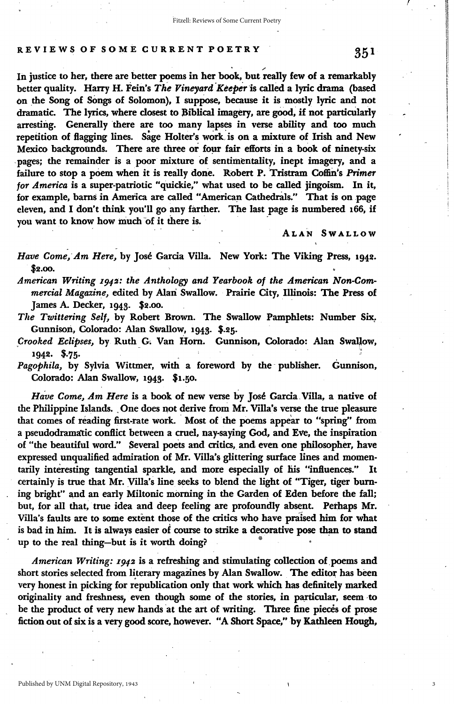#### REVIEWS OF SOME CURRENT POETRY

In justice to her, there are better poems in her book, but really few of a remarkably better quality. Harry H. Fein's *The Vineyard 'Keeper* 'is called a lyric drama (based on the Song of SOngs of Solomon), I supPose, because it is mostly lyric and not dramatic. The lyrics, where closest to Biblical imagery, are good, if not particularly arresting. Generally there are too many lapses in verse ability and too much repetition of flagging lines. Sage Holter's work is on a mixture of Irish and New Mexico backgrounds. There are three or four fair efforts in a book of ninety-six pages; the remainder is a poor mixture of sentimentality, inept imagery, and a failure to stop a poem when it is really done. Robert P. Tristram Coffin's Primer *for America* is a super-patriotic "quickie," what used to be called jingoism. In it, for example, barns in America are called "American Cathedrals." That is on page eleven, and I don't think you'll go any farther. The last page is numbered 166, if you want to know how much of it there is.

ALAN SWALLOW

Have Come, Am Here, by José Garcia Villa. New York: The Viking Press, 1942. \$2.00.

*American Writing I942: the Anthology and Yearbook of the American Non-Commercial Magazine*, edited by Alan Swallow. Prairie City, Illinois: The Press of James A. Decker, 1943. \$2.00.

*The Twittering Self, by Robert Brown. The Swallow Pamphlets: Number Six.* Gunnison, Colorado: Alan Swallow, 1943· \$.25.

*Crooked Eclipses*, by Ruth G. Van Horn. Gunnison, Colorado: Alan Swallow, . 1942. \$.75.

Pagophila, by Sylvia Wittmer, with a foreword by the publisher. Gunnison, Colorado: Alan Swallow, 1943. \$1.50.

Have Come, Am Here is a book of new verse by José Garcia Villa, a native of the Philippine Islands. One does not derive from Mr. Villa's verse the true pleasure that comes of reading first-rate work. Most of the poems appear to "spring" from a pseudodramatic conflict between a cruel, nay-saying God, and Eve, the inspiration of "the beautiful word." Several poets and critics, and even one philosopher, have expressed unqualified admiration of Mr. Villa's glittering surface lines and momentarily interesting tangential sparkle, and more especially of his "influences." It certainly is true that Mr. Villa's line seeks to blend the light of "Tiger, tiger buming bright" and an early Miltonic morning in the Garden of Eden before the fall; but, for all that, true idea and deep feeling are profoundly absent. Perhaps Mr. Villa's faults are to some extent those of the critics who have praised him for what is bad in him. It is always easier of course to strike a decorative pose than to stand up to the real thing-but is it worth doing?

*American Writing: I942* is a refreshing and stimulating collection of,poems and short stories selected from literary magazines by Alan Swallow. The editor has been very honest in picking for republication only that work which has definitely marked originality and freshness, even though some of the stories, in particular, seem to be the product of very new hands at the art of writing. Three fine pieces of prose fiction out of six is a very good score, however. "A Short Space," by Kathleen Hough,

 $\mathcal{F}$  1.  $\mathcal{F}$ 

<u>In the Community of the Community of the Community of the Community of the Community of the Community of the Co</u>

II t

**International Property** 

I  $\mathbf{I}$ !<br>! I I I !

3